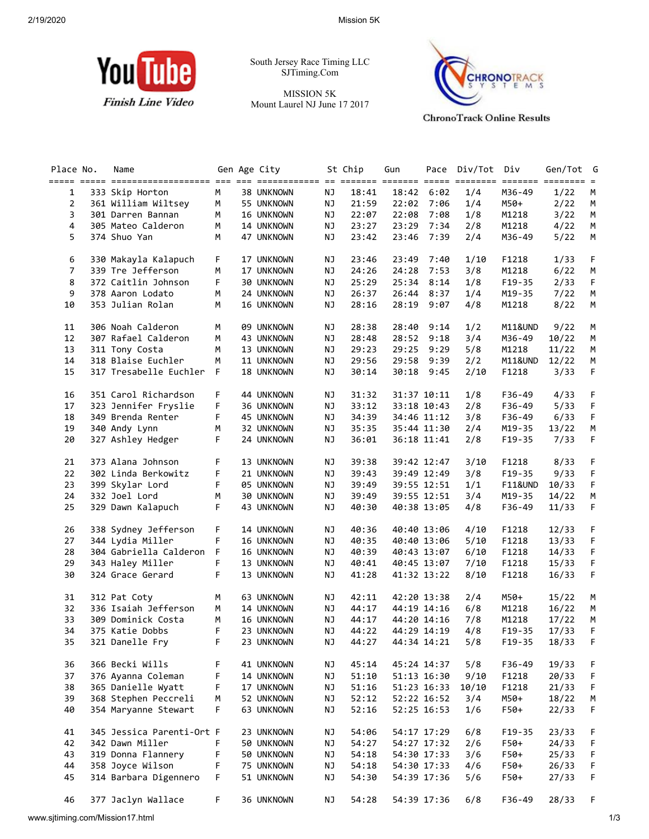

South Jersey Race Timing LLC SJTiming.Com

MISSION 5K Mount Laurel NJ June 17 2017



**ChronoTrack Online Results** 

| Place No.      | Name                      |    | Gen Age City |           | St Chip  | Gun         | Pace        | Div/Tot | Div                    | Gen/Tot        | G  |
|----------------|---------------------------|----|--------------|-----------|----------|-------------|-------------|---------|------------------------|----------------|----|
|                |                           |    |              |           |          |             |             |         |                        |                |    |
| 1              | 333 Skip Horton           | M  | 38 UNKNOWN   | ΝJ        | 18:41    | 18:42       | 6:02        | 1/4     | M36-49                 | 1/22           | М  |
| $\overline{2}$ | 361 William Wiltsey       | М  | 55 UNKNOWN   | NJ        | 21:59    | 22:02       | 7:06        | 1/4     | M50+                   | 2/22           | M  |
| 3              | 301 Darren Bannan         | M  | 16 UNKNOWN   | NJ        | 22:07    | 22:08       | 7:08        | 1/8     | M1218                  | 3/22           | М  |
| 4              | 305 Mateo Calderon        | М  | 14 UNKNOWN   | NJ        | 23:27    | 23:29       | 7:34        | 2/8     | M1218                  | 4/22           | M  |
| 5.             | 374 Shuo Yan              | М  | 47 UNKNOWN   | ΝJ        | 23:42    | 23:46       | 7:39        | 2/4     | M36-49                 | 5/22           | М  |
| 6              | 330 Makayla Kalapuch      | F  | 17 UNKNOWN   | NJ        | 23:46    | 23:49       | 7:40        | 1/10    | F1218                  | 1/33           | F. |
| $\overline{7}$ | 339 Tre Jefferson         | М  | 17 UNKNOWN   | NJ        | 24:26    | 24:28       | 7:53        | 3/8     | M1218                  | 6/22           | М  |
| 8              | 372 Caitlin Johnson       | F  | 30 UNKNOWN   | NJ        | 25:29    | 25:34       | 8:14        | 1/8     | $F19-35$               | 2/33           | F  |
| 9              | 378 Aaron Lodato          | М  | 24 UNKNOWN   | NJ        | 26:37    | 26:44       | 8:37        | 1/4     | M19-35                 | 7/22           | M  |
| 10             | 353 Julian Rolan          | М  | 16 UNKNOWN   | NJ        | 28:16    | 28:19       | 9:07        | 4/8     | M1218                  | 8/22           | M  |
| 11             | 306 Noah Calderon         | М  | 09 UNKNOWN   | ΝJ        | 28:38    | 28:40       | 9:14        | 1/2     | M11&UND                | 9/22           | M  |
| 12             | 307 Rafael Calderon       | М  | 43 UNKNOWN   | NJ        | 28:48    | 28:52       | 9:18        | 3/4     | M36-49                 | 10/22          | М  |
| 13             | 311 Tony Costa            | М  | 13 UNKNOWN   | ΝJ        | 29:23    | 29:25       | 9:29        | 5/8     | M1218                  | 11/22          | M  |
| 14             | 318 Blaise Euchler        | М  | 11 UNKNOWN   | NJ        | 29:56    | 29:58       | 9:39        | 2/2     | M11&UND                | 12/22          | М  |
| 15             | 317 Tresabelle Euchler    | F  | 18 UNKNOWN   | ΝJ        | 30:14    | 30:18       | 9:45        | 2/10    | F1218                  | 3/33           | F  |
| 16             | 351 Carol Richardson      | F  | 44 UNKNOWN   | ΝJ        | 31:32    |             | 31:37 10:11 | 1/8     | F36-49                 | 4/33           | F  |
| 17             | 323 Jennifer Fryslie      | F  | 36 UNKNOWN   | NJ        | 33:12    |             | 33:18 10:43 | 2/8     | F36-49                 | 5/33           | F  |
| 18             | 349 Brenda Renter         | F  | 45 UNKNOWN   | NJ        | 34:39    |             | 34:46 11:12 | 3/8     | F36-49                 | 6/33           | F  |
| 19             | 340 Andy Lynn             | м  | 32 UNKNOWN   | ΝJ        | 35:35    |             | 35:44 11:30 | 2/4     | M19-35                 |                | М  |
| 20             | 327 Ashley Hedger         | F  | 24 UNKNOWN   | NJ        | 36:01    |             | 36:18 11:41 | 2/8     | $F19-35$               | 13/22<br>7/33  | F  |
|                |                           |    |              |           |          |             |             |         |                        |                |    |
| 21             | 373 Alana Johnson         | F  | 13 UNKNOWN   | NJ        | 39:38    |             | 39:42 12:47 | 3/10    | F1218                  | 8/33           | F  |
| 22             | 302 Linda Berkowitz       | F  | 21 UNKNOWN   | <b>NJ</b> | 39:43    |             | 39:49 12:49 | 3/8     | $F19-35$               | 9/33           | F  |
| 23             | 399 Skylar Lord           | F  | 05 UNKNOWN   | NJ        | 39:49    |             | 39:55 12:51 | 1/1     | <b>F11&amp;UND</b>     | 10/33          | F  |
| 24             | 332 Joel Lord             | М  | 30 UNKNOWN   | NJ        | 39:49    |             | 39:55 12:51 | 3/4     | M19-35                 | 14/22          | M  |
| 25             | 329 Dawn Kalapuch         | F  | 43 UNKNOWN   | NJ        | 40:30    |             | 40:38 13:05 | 4/8     | $F36 - 49$             | 11/33          | F  |
| 26             | 338 Sydney Jefferson      | F  | 14 UNKNOWN   | ΝJ        | 40:36    | 40:40 13:06 |             | 4/10    | F1218                  | 12/33          | F  |
| 27             | 344 Lydia Miller          | F  | 16 UNKNOWN   | ΝJ        | 40:35    |             | 40:40 13:06 | 5/10    | F1218                  | 13/33          | F  |
| 28             | 304 Gabriella Calderon    | F  | 16 UNKNOWN   | NJ        | 40:39    |             | 40:43 13:07 | 6/10    | F1218                  | 14/33          | F  |
| 29             | 343 Haley Miller          | F  | 13 UNKNOWN   | NJ        | 40:41    |             | 40:45 13:07 | 7/10    | F1218                  | 15/33          | F  |
| 30             | 324 Grace Gerard          | F  | 13 UNKNOWN   | NJ        | 41:28    |             | 41:32 13:22 | 8/10    | F1218                  | 16/33          | F  |
| 31             | 312 Pat Coty              | М  | 63 UNKNOWN   | NJ        | 42:11    |             | 42:20 13:38 | 2/4     | M50+                   | 15/22          | M  |
| 32             | 336 Isaiah Jefferson      | М  | 14 UNKNOWN   | NJ        | 44:17    |             | 44:19 14:16 | 6/8     | M1218                  | 16/22          | M  |
| 33             | 309 Dominick Costa        | M  | 16 UNKNOWN   | NJ        | 44:17    |             | 44:20 14:16 | 7/8     | M1218                  | 17/22          | М  |
| 34             | 375 Katie Dobbs           | F  | 23 UNKNOWN   | <b>NJ</b> | 44:22    | 44:29 14:19 |             | 4/8     |                        |                | F  |
| 35             | 321 Danelle Fry           | F. | 23 UNKNOWN   |           | NJ 44:27 | 44:34 14:21 |             | 5/8     | $F19-35$<br>$F19 - 35$ | 17/33<br>18/33 | F. |
| 36             | 366 Becki Wills           | F  | 41 UNKNOWN   | NJ        | 45:14    |             | 45:24 14:37 | 5/8     | F36-49                 | 19/33          |    |
|                |                           |    |              |           |          |             |             |         |                        |                | F  |
| 37             | 376 Ayanna Coleman        | F  | 14 UNKNOWN   | NJ        | 51:10    |             | 51:13 16:30 | 9/10    | F1218                  | 20/33          | F  |
| 38             | 365 Danielle Wyatt        | F  | 17 UNKNOWN   | ΝJ        | 51:16    |             | 51:23 16:33 | 10/10   | F1218                  | 21/33          | F  |
| 39             | 368 Stephen Peccreli      | M  | 52 UNKNOWN   | NJ        | 52:12    |             | 52:22 16:52 | 3/4     | M50+                   | 18/22          | М  |
| 40             | 354 Maryanne Stewart      | F  | 63 UNKNOWN   | NJ        | 52:16    |             | 52:25 16:53 | 1/6     | F50+                   | 22/33          | F  |
| 41             | 345 Jessica Parenti-Ort F |    | 23 UNKNOWN   | NJ        | 54:06    |             | 54:17 17:29 | 6/8     | $F19 - 35$             | 23/33          | F  |
| 42             | 342 Dawn Miller           | F  | 50 UNKNOWN   | NJ        | 54:27    |             | 54:27 17:32 | 2/6     | F50+                   | 24/33          | F  |
| 43             | 319 Donna Flannery        | F  | 50 UNKNOWN   | NJ        | 54:18    |             | 54:30 17:33 | 3/6     | F50+                   | 25/33          | F  |
|                | 358 Joyce Wilson          | F  | 75 UNKNOWN   | <b>NJ</b> | 54:18    |             | 54:30 17:33 | 4/6     | F50+                   | 26/33          | F  |
| 44             |                           |    |              |           |          |             |             |         |                        |                |    |
| 45             | 314 Barbara Digennero     | F  | 51 UNKNOWN   | NJ        | 54:30    |             | 54:39 17:36 | 5/6     | F50+                   | 27/33          | F  |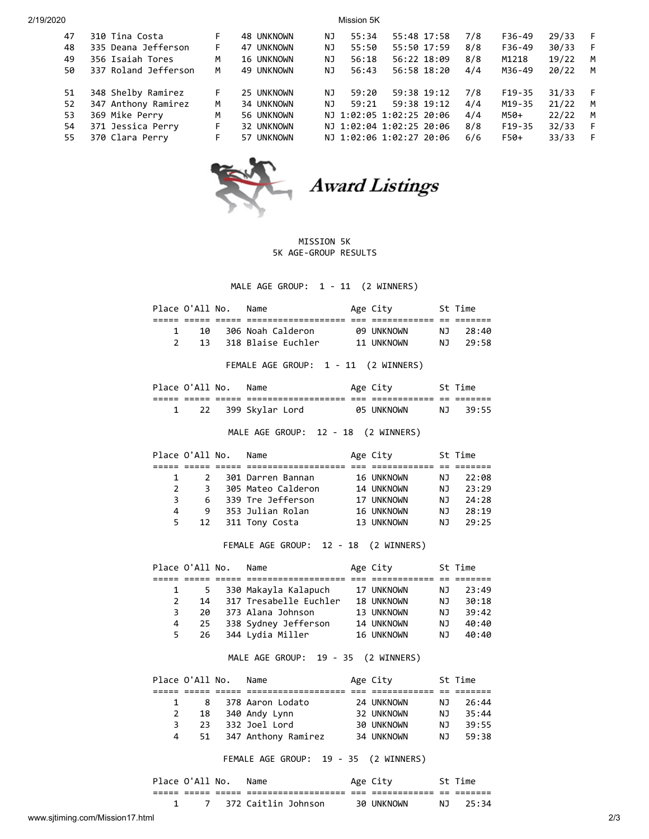2/19/2020 Mission 5K 47 310 Tina Costa F 48 UNKNOWN NJ 55:34 55:48 17:58 7/8 F36-49 29/33 F 48 335 Deana Jefferson F 47 UNKNOWN NJ 55:50 55:50 17:59 8/8 F36-49 30/33 F 49 356 Isaiah Tores M 16 UNKNOWN NJ 56:18 56:22 18:09 8/8 M1218 19/22 M 50 337 Roland Jefferson M 49 UNKNOWN NJ 56:43 56:58 18:20 4/4 M36-49 20/22 M 51 348 Shelby Ramirez F 25 UNKNOWN NJ 59:20 59:38 19:12 7/8 F19-35 31/33 F 52 347 Anthony Ramirez M 34 UNKNOWN NJ 59:21 59:38 19:12 4/4 M19-35 21/22 M 53 369 Mike Perry M 56 UNKNOWN NJ 1:02:05 1:02:25 20:06 4/4 M50+ 22/22 M 54 371 Jessica Perry F 32 UNKNOWN NJ 1:02:04 1:02:25 20:06 8/8 F19-35 32/33 F 55 370 Clara Perry F 57 UNKNOWN NJ 1:02:06 1:02:27 20:06 6/6 F50+ 33/33 F



**Award Listings** 

## MISSION 5K 5K AGE-GROUP RESULTS

MALE AGE GROUP: 1 - 11 (2 WINNERS)

|                | Place O'All No. |                | Name                                      | Age City                 |           | St Time |
|----------------|-----------------|----------------|-------------------------------------------|--------------------------|-----------|---------|
| 1              | 10              |                | 306 Noah Calderon                         |                          | NJ 1      | 28:40   |
| $\overline{2}$ | 13              |                | 318 Blaise Euchler                        | 09 UNKNOWN<br>11 UNKNOWN | NJ 1      | 29:58   |
|                |                 |                |                                           |                          |           |         |
|                |                 |                | FEMALE AGE GROUP: 1 - 11 (2 WINNERS)      |                          |           |         |
|                | Place O'All No. |                | Name                                      | Age City                 |           | St Time |
|                |                 |                |                                           |                          |           |         |
| $\mathbf{1}$   | 22              |                | 399 Skylar Lord                           | 05 UNKNOWN               | <b>NJ</b> | 39:55   |
|                |                 |                |                                           |                          |           |         |
|                |                 |                | MALE AGE GROUP: 12 - 18 (2 WINNERS)       |                          |           |         |
|                | Place O'All No. |                | Name                                      | Age City 5t Time         |           |         |
|                |                 |                |                                           |                          |           |         |
| 1              |                 | $2^{\circ}$    | 301 Darren Bannan                         | 16 UNKNOWN               | NJ        | 22:08   |
| $\overline{2}$ |                 | 3 <sup>7</sup> | 305 Mateo Calderon                        | 14 UNKNOWN               | NJ        | 23:29   |
| 3              | 6               |                | 339 Tre Jefferson                         |                          |           | 24:28   |
| 4              | 9               |                | 353 Julian Rolan                          | 17 UNKNOWN<br>16 UNKNOWN | NJ<br>NJ  | 28:19   |
| 5              | 12              |                | 311 Tony Costa                            | 13 UNKNOWN               | <b>NJ</b> | 29:25   |
|                |                 |                | FEMALE AGE GROUP: 12 - 18 (2 WINNERS)     |                          |           |         |
|                | Place O'All No. |                | Name                                      | Age City 5t Time         |           |         |
|                |                 |                |                                           |                          |           |         |
| 1              | 5               |                | 330 Makayla Kalapuch                      | 17 UNKNOWN               | NJ        | 23:49   |
| $\overline{2}$ | 14              |                | 317 Tresabelle Euchler 18 UNKNOWN         |                          |           |         |
|                |                 |                |                                           |                          | NJ        | 30:18   |
| 3              | 20              |                | 373 Alana Johnson                         | 13 UNKNOWN               |           | 39:42   |
| 4              | 25              |                | 338 Sydney Jefferson 14 UNKNOWN           |                          | NJ<br>NJ  | 40:40   |
| 5              | 26              |                | 344 Lydia Miller                          | 16 UNKNOWN               | NJ 1      | 40:40   |
|                |                 |                | MALE AGE GROUP: 19 - 35 (2 WINNERS)       |                          |           |         |
|                | Place O'All No. |                | Name                                      | Age City                 |           | St Time |
|                |                 |                |                                           |                          |           |         |
| 1              | 8               |                | 378 Aaron Lodato                          | 24 UNKNOWN               | NJ        | 26:44   |
| $\overline{2}$ | 18              |                |                                           |                          | <b>NJ</b> | 35:44   |
| 3              | 23              |                | 340 Andy Lynn 32 UNKNOWN<br>332 Joel Lord | 30 UNKNOWN               | NJ 1      | 39:55   |
| 4              | 51              |                | 347 Anthony Ramirez 34 UNKNOWN            |                          | NJ        | 59:38   |

| Place O'All No. |  | Name                    | Age City   | St Time  |
|-----------------|--|-------------------------|------------|----------|
|                 |  |                         |            |          |
|                 |  | 7 - 372 Caitlin Johnson | 30 UNKNOWN | NJ 25:34 |